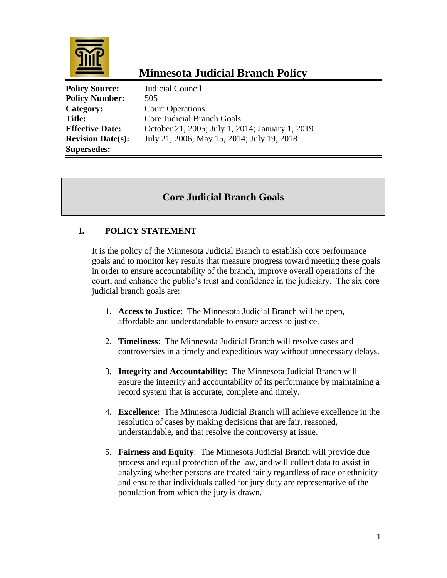

# **Minnesota Judicial Branch Policy**

| <b>Policy Source:</b>    | Judicial Council                                |
|--------------------------|-------------------------------------------------|
| <b>Policy Number:</b>    | 505                                             |
| Category:                | <b>Court Operations</b>                         |
| <b>Title:</b>            | Core Judicial Branch Goals                      |
| <b>Effective Date:</b>   | October 21, 2005; July 1, 2014; January 1, 2019 |
| <b>Revision Date(s):</b> | July 21, 2006; May 15, 2014; July 19, 2018      |
| <b>Supersedes:</b>       |                                                 |

## **Core Judicial Branch Goals**

### **I. POLICY STATEMENT**

It is the policy of the Minnesota Judicial Branch to establish core performance goals and to monitor key results that measure progress toward meeting these goals in order to ensure accountability of the branch, improve overall operations of the court, and enhance the public's trust and confidence in the judiciary. The six core judicial branch goals are:

- 1. **Access to Justice**: The Minnesota Judicial Branch will be open, affordable and understandable to ensure access to justice.
- 2. **Timeliness**: The Minnesota Judicial Branch will resolve cases and controversies in a timely and expeditious way without unnecessary delays.
- 3. **Integrity and Accountability**: The Minnesota Judicial Branch will ensure the integrity and accountability of its performance by maintaining a record system that is accurate, complete and timely.
- 4. **Excellence**: The Minnesota Judicial Branch will achieve excellence in the resolution of cases by making decisions that are fair, reasoned, understandable, and that resolve the controversy at issue.
- 5. **Fairness and Equity**: The Minnesota Judicial Branch will provide due process and equal protection of the law, and will collect data to assist in analyzing whether persons are treated fairly regardless of race or ethnicity and ensure that individuals called for jury duty are representative of the population from which the jury is drawn.